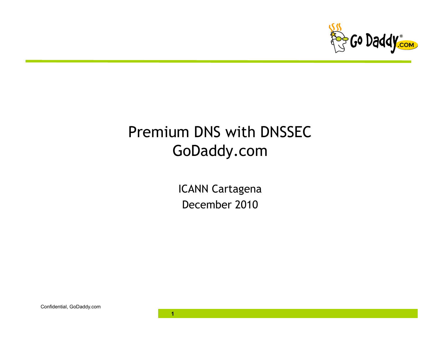

# Premium DNS with DNSSEC GoDaddy.com

ICANN Cartagena December 2010

**1** 

Confidential, GoDaddy.com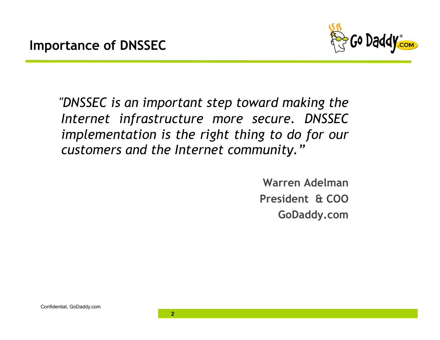

 *"DNSSEC is an important step toward making the Internet infrastructure more secure. DNSSEC implementation is the right thing to do for our customers and the Internet community."* 

> **Warren Adelman President & COO GoDaddy.com**

 $\overline{2}$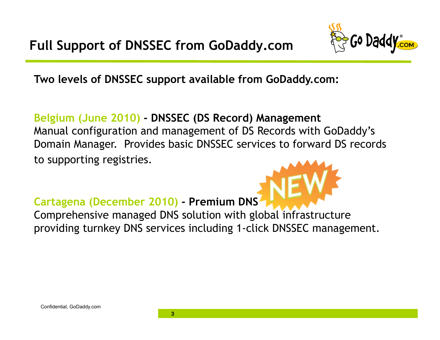

**Two levels of DNSSEC support available from GoDaddy.com:** 

#### **Belgium (June 2010) - DNSSEC (DS Record) Management**

Manual configuration and management of DS Records with GoDaddy's Domain Manager. Provides basic DNSSEC services to forward DS records to supporting registries.

#### **Cartagena (December 2010) - Premium DNS**

Comprehensive managed DNS solution with global infrastructure providing turnkey DNS services including 1-click DNSSEC management.

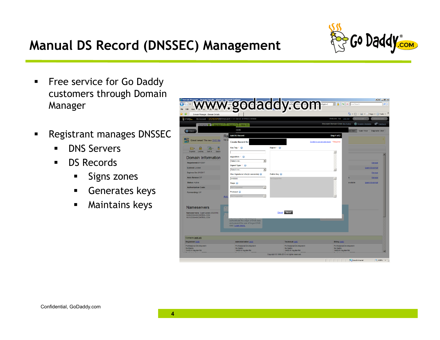## **Manual DS Record (DNSSEC) Management**



- **Filter Service for Go Daddy** customers through Domain Manager
- **Registrant manages DNSSEC** 
	- **DNS** Servers
	- **DS Records** 
		- **Signs zones**
		- Generates keys
		- **Maintains keys**

|                                                                                                       |                                                                                               | <b>C. WWW.godaddy.com Response</b> |                          |                                            |                       |                                  |
|-------------------------------------------------------------------------------------------------------|-----------------------------------------------------------------------------------------------|------------------------------------|--------------------------|--------------------------------------------|-----------------------|----------------------------------|
| ा थे<br>Domain Manager - Domain Details                                                               |                                                                                               |                                    |                          |                                            |                       | ☆ - 同 - 曲 - p Page - © Tools - > |
| Ga Daddy -                                                                                            | My Account > DOMAINMANAGER v 4.5 Server: M1PWDCCWEB08                                         |                                    |                          | Welcome: 1oa Log Out                       | My Account (Fill)     | GoDaddy.com D                    |
| Domains O                                                                                             | Buy/Sell D   Tools D   Help D                                                                 |                                    |                          | <b>Discount Domain Club: Not Active</b>    | Register Domains      | Feedback                         |
| Back                                                                                                  | cords                                                                                         |                                    |                          |                                            | Quick View<br>ed View | <b>Disgnostic View</b>           |
|                                                                                                       | <b>Add DS Record</b><br>Re                                                                    |                                    |                          | Step 1 of 2                                |                       |                                  |
| Great news! The new DNS Ma                                                                            | No D<br><b>Create Record for</b>                                                              |                                    |                          | Switch to advanced mode * Required         |                       |                                  |
|                                                                                                       | Key Tag * (a)                                                                                 | Digest * ©                         |                          |                                            |                       |                                  |
| Locking<br>Cash in<br>Organize<br>Upgrax                                                              |                                                                                               |                                    |                          | $\overline{\phantom{a}}$                   |                       |                                  |
| Domain Information                                                                                    | Algorithm * @                                                                                 |                                    |                          |                                            |                       |                                  |
| Registered: 8/1/2007                                                                                  | Selectione                                                                                    | $\blacksquare$                     |                          |                                            |                       | Manage                           |
| Locked: Locked                                                                                        | Digest Type * (a)                                                                             |                                    |                          |                                            |                       | Learn More/Add                   |
| <b>Expires On: 8/1/2017</b>                                                                           | Selectione.                                                                                   | $\vert \cdot \vert$                |                          |                                            |                       | Manage                           |
| Auto Renew: Off                                                                                       | Max Signature Life (in seconds) (a)                                                           | Public Key<br>Not Supported        |                          |                                            |                       | Manage                           |
| <b>Status: Active</b>                                                                                 | 3456000<br>Flags $\omega$                                                                     |                                    |                          |                                            | available             | Learn More/Add                   |
| <b>Authorization Code:</b>                                                                            | Not Supported                                                                                 |                                    |                          |                                            |                       |                                  |
| Forwarding: Off                                                                                       | Protocol (e)                                                                                  |                                    |                          |                                            |                       |                                  |
|                                                                                                       | Not Supported<br>Add                                                                          | l w                                |                          |                                            |                       |                                  |
| Nameservers<br>Nameservers: (Last Update 2/2/2010)<br>NS09.DOMANCONTROL.COM<br>NS10.DOMAINCONTROL.COM | authenticate the origin of DNS data<br>and prevent the use of forged DNS<br>data. Learn more. | Cancel Next                        |                          |                                            |                       |                                  |
| Contacts (edit all)                                                                                   |                                                                                               |                                    |                          |                                            |                       |                                  |
| Registrant (edit)<br>Professional Development                                                         | Administrative (edit)<br>Professional Development                                             | Technical (edit)                   | Professional Development | Billing (edit)<br>Professional Development |                       |                                  |
| Go Daddy<br>14455 N Havden Rd                                                                         | <b>Go Daddy</b><br>14455 N Havden Rd                                                          | <b>Go Daddy</b>                    | 14455 N Havden Rd        | Go Daddy<br>14455 N Havden Rd              |                       |                                  |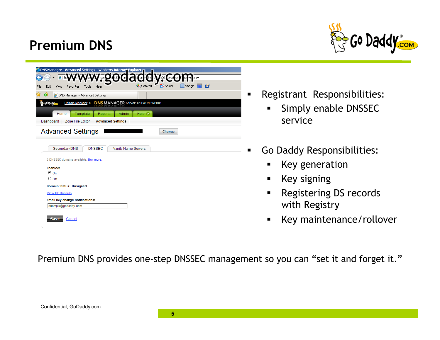### **Premium DNS**



|              |                 |                                       |          |               | ODNS Manager - Advanced Settings - Windows Internet Explorer |                                         |                     |                        |   |
|--------------|-----------------|---------------------------------------|----------|---------------|--------------------------------------------------------------|-----------------------------------------|---------------------|------------------------|---|
|              |                 |                                       |          |               | 200a                                                         | $\overline{\text{on}}$                  | <b>GV</b> Co D      | $=0$ <sub>sa</sub> $=$ |   |
| Edit<br>File | View            | Favorites                             | Tools    | Help          |                                                              |                                         | Convert v Di Select | <b>Snagit</b><br>E     | 自 |
| 47           |                 | 2 DNS Manager - Advanced Settings     |          |               |                                                              |                                         |                     |                        |   |
| Go Daddy     |                 | Domain Manager >                      |          |               |                                                              | <b>DNS MANAGER Server: G1TWDNSWEB01</b> |                     |                        |   |
|              | Home            |                                       | Template | Reports       | Admin                                                        | Help $\bullet$                          |                     |                        |   |
| Dashboard    |                 | Zone File Editor                      |          |               | <b>Advanced Settings</b>                                     |                                         |                     |                        |   |
|              |                 | <b>Advanced Settings</b>              |          |               |                                                              |                                         | Change              |                        |   |
|              |                 |                                       |          |               |                                                              |                                         |                     |                        |   |
|              |                 | Secondary DNS                         |          | <b>DNSSEC</b> |                                                              | Vanity Name Servers                     |                     |                        |   |
|              |                 | 3 DNSSEC domains available. Buy more, |          |               |                                                              |                                         |                     |                        |   |
|              | Enabled:        |                                       |          |               |                                                              |                                         |                     |                        |   |
|              | $\odot$ on      |                                       |          |               |                                                              |                                         |                     |                        |   |
|              | $\circ$ off     |                                       |          |               |                                                              |                                         |                     |                        |   |
|              |                 | Domain Status: Unsigned               |          |               |                                                              |                                         |                     |                        |   |
|              | View DS Records |                                       |          |               |                                                              |                                         |                     |                        |   |
|              |                 | Email key change notifications:       |          |               |                                                              |                                         |                     |                        |   |
|              |                 | example@godaddy.com                   |          |               |                                                              |                                         |                     |                        |   |
|              |                 |                                       |          |               |                                                              |                                         |                     |                        |   |
|              | Save            | Cancel                                |          |               |                                                              |                                         |                     |                        |   |
|              |                 |                                       |          |               |                                                              |                                         |                     |                        |   |

- **-** Registrant Responsibilities:
	- **Simply enable DNSSEC** service
- **Go Daddy Responsibilities:** 
	- **Key generation**
	- **Key signing**
	- **Registering DS records** with Registry
	- **Key maintenance/rollover**

Premium DNS provides one-step DNSSEC management so you can "set it and forget it."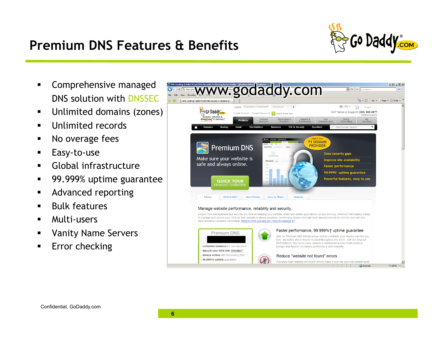### **Premium DNS Features & Benefits**



- **EXECOMPTEMENT COMPTENSIVE Managed** DNS solution with DNSSEC
- **Unlimited domains (zones)**
- **Unlimited records**
- No overage fees
- **Easy-to-use**
- **Global infrastructure**
- 99.999% uptime guarantee
- **Advanced reporting**
- **Bulk features**
- Multi-users
- Vanity Name Servers
- Error checking

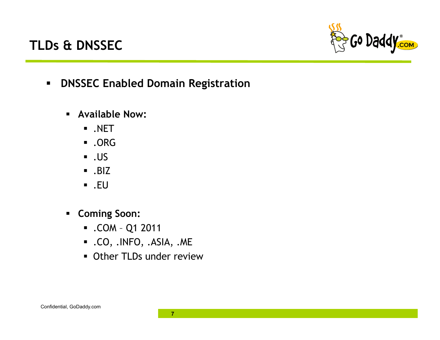#### **TLDs & DNSSEC**



- **DNSSEC Enabled Domain Registration** 
	- **Available Now:** 
		- .NET
		- .ORG
		- $\overline{\phantom{0}}$ . US
		- $-BIZ$
		- $\blacksquare$ .EU
	- **Coming Soon:** 
		- .COM Q1 2011
		- .CO, .INFO, .ASIA, .ME
		- **Other TLDs under review**